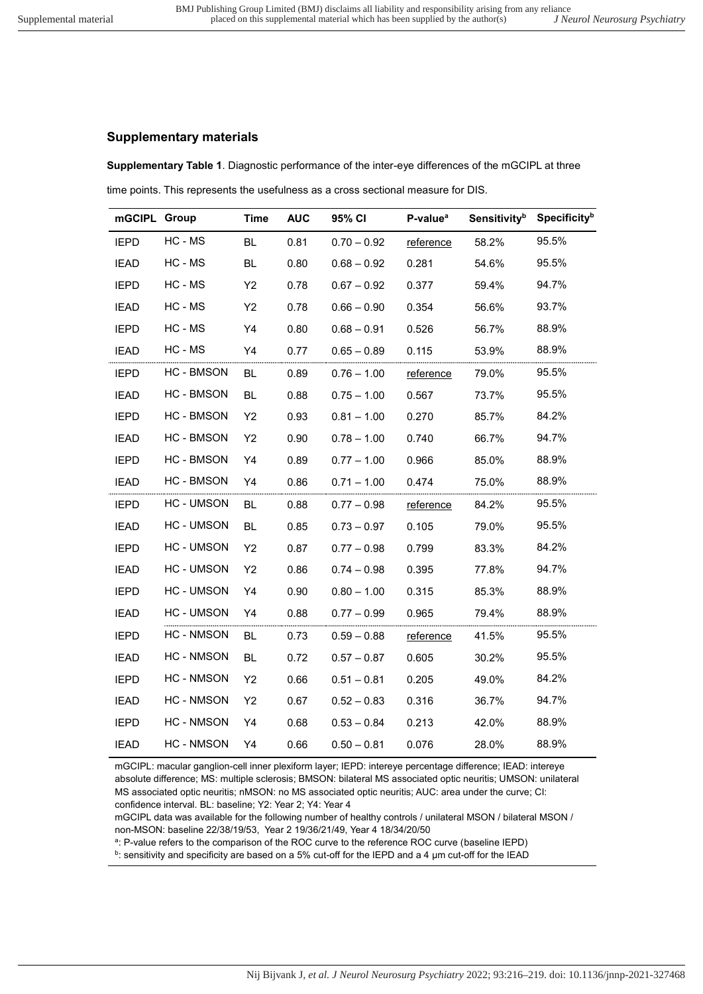## **Supplementary materials**

**Supplementary Table 1**. Diagnostic performance of the inter-eye differences of the mGCIPL at three time points. This represents the usefulness as a cross sectional measure for DIS.

| mGCIPL Group |                   | <b>Time</b> | <b>AUC</b> | 95% CI        | P-value <sup>a</sup> | Sensitivity <sup>b</sup> | Specificityb |
|--------------|-------------------|-------------|------------|---------------|----------------------|--------------------------|--------------|
| <b>IEPD</b>  | HC - MS           | <b>BL</b>   | 0.81       | $0.70 - 0.92$ | reference            | 58.2%                    | 95.5%        |
| <b>IEAD</b>  | HC - MS           | <b>BL</b>   | 0.80       | $0.68 - 0.92$ | 0.281                | 54.6%                    | 95.5%        |
| <b>IEPD</b>  | HC - MS           | Y2          | 0.78       | $0.67 - 0.92$ | 0.377                | 59.4%                    | 94.7%        |
| <b>IEAD</b>  | HC - MS           | Y2          | 0.78       | $0.66 - 0.90$ | 0.354                | 56.6%                    | 93.7%        |
| <b>IEPD</b>  | HC - MS           | Y4          | 0.80       | $0.68 - 0.91$ | 0.526                | 56.7%                    | 88.9%        |
| <b>IEAD</b>  | HC - MS           | Y4          | 0.77       | $0.65 - 0.89$ | 0.115                | 53.9%                    | 88.9%        |
| <b>IEPD</b>  | <b>HC - BMSON</b> | BL.         | 0.89       | $0.76 - 1.00$ | reference            | 79.0%                    | 95.5%        |
| <b>IEAD</b>  | <b>HC-BMSON</b>   | BL.         | 0.88       | $0.75 - 1.00$ | 0.567                | 73.7%                    | 95.5%        |
| <b>IEPD</b>  | <b>HC-BMSON</b>   | Y2          | 0.93       | $0.81 - 1.00$ | 0.270                | 85.7%                    | 84.2%        |
| <b>IEAD</b>  | <b>HC-BMSON</b>   | Y2          | 0.90       | $0.78 - 1.00$ | 0.740                | 66.7%                    | 94.7%        |
| <b>IEPD</b>  | <b>HC-BMSON</b>   | Y4          | 0.89       | $0.77 - 1.00$ | 0.966                | 85.0%                    | 88.9%        |
| <b>IEAD</b>  | HC - BMSON        | Y4          | 0.86       | $0.71 - 1.00$ | 0.474                | 75.0%                    | 88.9%        |
| <b>IEPD</b>  | <b>HC-UMSON</b>   | BL.         | 0.88       | $0.77 - 0.98$ | reference            | 84.2%                    | 95.5%        |
| <b>IEAD</b>  | <b>HC-UMSON</b>   | <b>BL</b>   | 0.85       | $0.73 - 0.97$ | 0.105                | 79.0%                    | 95.5%        |
| <b>IEPD</b>  | <b>HC-UMSON</b>   | Y2          | 0.87       | $0.77 - 0.98$ | 0.799                | 83.3%                    | 84.2%        |
| <b>IEAD</b>  | HC - UMSON        | Y2          | 0.86       | $0.74 - 0.98$ | 0.395                | 77.8%                    | 94.7%        |
| <b>IEPD</b>  | <b>HC-UMSON</b>   | Y4          | 0.90       | $0.80 - 1.00$ | 0.315                | 85.3%                    | 88.9%        |
| <b>IEAD</b>  | <b>HC-UMSON</b>   | Y4          | 0.88       | $0.77 - 0.99$ | 0.965                | 79.4%                    | 88.9%        |
| <b>IEPD</b>  | <b>HC - NMSON</b> | <b>BL</b>   | 0.73       | $0.59 - 0.88$ | reference            | 41.5%                    | 95.5%        |
| <b>IEAD</b>  | <b>HC - NMSON</b> | <b>BL</b>   | 0.72       | $0.57 - 0.87$ | 0.605                | 30.2%                    | 95.5%        |
| <b>IEPD</b>  | <b>HC - NMSON</b> | Y2          | 0.66       | $0.51 - 0.81$ | 0.205                | 49.0%                    | 84.2%        |
| <b>IEAD</b>  | <b>HC - NMSON</b> | Y2          | 0.67       | $0.52 - 0.83$ | 0.316                | 36.7%                    | 94.7%        |
| <b>IEPD</b>  | HC - NMSON        | Y4          | 0.68       | $0.53 - 0.84$ | 0.213                | 42.0%                    | 88.9%        |
| <b>IEAD</b>  | <b>HC - NMSON</b> | Y4          | 0.66       | $0.50 - 0.81$ | 0.076                | 28.0%                    | 88.9%        |

mGCIPL: macular ganglion-cell inner plexiform layer; IEPD: intereye percentage difference; IEAD: intereye absolute difference; MS: multiple sclerosis; BMSON: bilateral MS associated optic neuritis; UMSON: unilateral MS associated optic neuritis; nMSON: no MS associated optic neuritis; AUC: area under the curve; CI: confidence interval. BL: baseline; Y2: Year 2; Y4: Year 4

mGCIPL data was available for the following number of healthy controls / unilateral MSON / bilateral MSON / non-MSON: baseline 22/38/19/53, Year 2 19/36/21/49, Year 4 18/34/20/50

a : P-value refers to the comparison of the ROC curve to the reference ROC curve (baseline IEPD)

 $^{\rm b}$ : sensitivity and specificity are based on a 5% cut-off for the IEPD and a 4 µm cut-off for the IEAD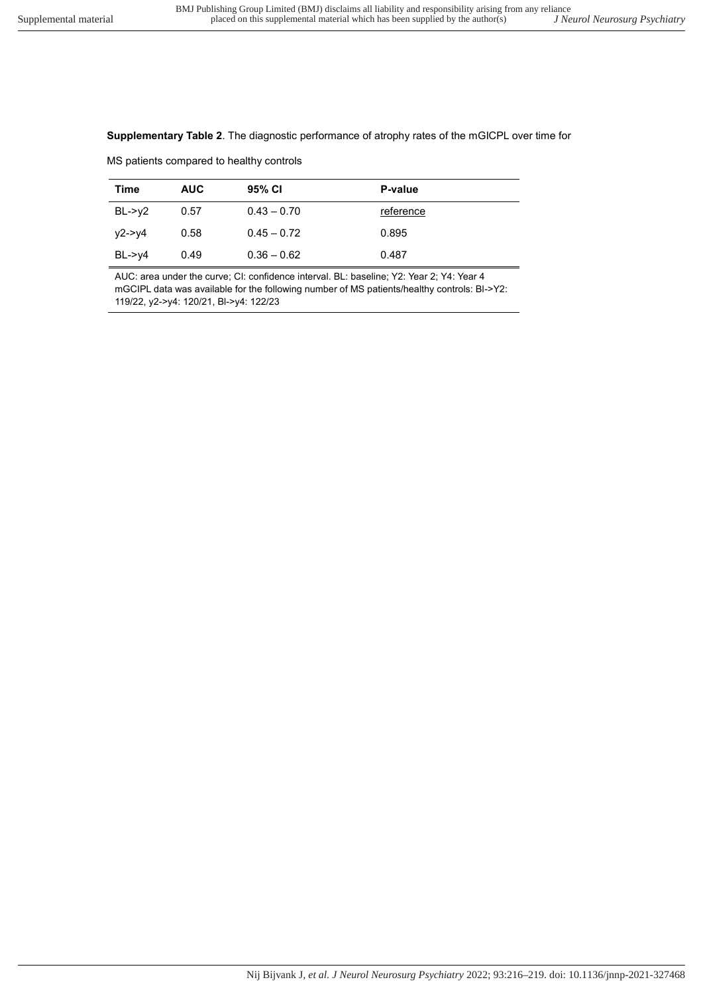## **Supplementary Table 2**. The diagnostic performance of atrophy rates of the mGICPL over time for

MS patients compared to healthy controls

| Time                    | <b>AUC</b> | 95% CI        | P-value   |
|-------------------------|------------|---------------|-----------|
| $BL \rightarrow y2$     | 0.57       | $0.43 - 0.70$ | reference |
| y2->y4                  | 0.58       | $0.45 - 0.72$ | 0.895     |
| $BL \rightarrow \vee 4$ | 0.49       | $0.36 - 0.62$ | 0.487     |

AUC: area under the curve; CI: confidence interval. BL: baseline; Y2: Year 2; Y4: Year 4 mGCIPL data was available for the following number of MS patients/healthy controls: Bl->Y2: 119/22, y2->y4: 120/21, Bl->y4: 122/23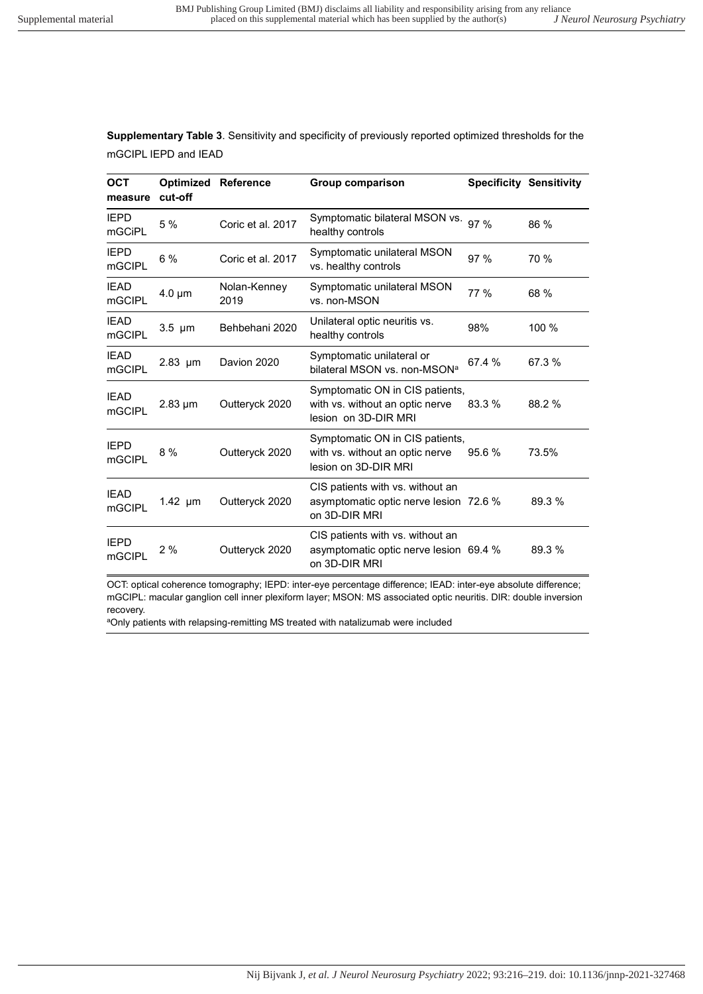**Supplementary Table 3**. Sensitivity and specificity of previously reported optimized thresholds for the mGCIPL IEPD and IEAD

| <b>OCT</b><br>measure        | <b>Optimized Reference</b><br>cut-off |                      | Group comparison                                                                            | <b>Specificity Sensitivity</b> |        |
|------------------------------|---------------------------------------|----------------------|---------------------------------------------------------------------------------------------|--------------------------------|--------|
| <b>IEPD</b><br><b>mGCiPL</b> | 5 %                                   | Coric et al. 2017    | Symptomatic bilateral MSON vs.<br>healthy controls                                          | 97 %                           | 86 %   |
| <b>IEPD</b><br>mGCIPL        | 6 %                                   | Coric et al. 2017    | Symptomatic unilateral MSON<br>vs. healthy controls                                         | 97%                            | 70 %   |
| <b>IEAD</b><br>mGCIPL        | $4.0 \mu m$                           | Nolan-Kenney<br>2019 | Symptomatic unilateral MSON<br>vs. non-MSON                                                 | 77 %                           | 68 %   |
| <b>IEAD</b><br>mGCIPL        | $3.5 \mu m$                           | Behbehani 2020       | Unilateral optic neuritis vs.<br>healthy controls                                           | 98%                            | 100 %  |
| <b>IEAD</b><br>mGCIPL        | $2.83$ µm                             | Davion 2020          | Symptomatic unilateral or<br>bilateral MSON vs. non-MSON <sup>a</sup>                       | 67.4 %                         | 67.3 % |
| <b>IEAD</b><br>mGCIPL        | $2.83 \mu m$                          | Outteryck 2020       | Symptomatic ON in CIS patients,<br>with vs. without an optic nerve<br>lesion on 3D-DIR MRI  | 83.3 %                         | 88.2 % |
| <b>IEPD</b><br>mGCIPL        | 8 %                                   | Outteryck 2020       | Symptomatic ON in CIS patients,<br>with vs. without an optic nerve<br>lesion on 3D-DIR MRI  | 95.6 %                         | 73.5%  |
| <b>IEAD</b><br>mGCIPL        | 1.42 µm                               | Outteryck 2020       | CIS patients with vs. without an<br>asymptomatic optic nerve lesion 72.6 %<br>on 3D-DIR MRI |                                | 89.3 % |
| <b>IEPD</b><br>mGCIPL        | 2%                                    | Outteryck 2020       | CIS patients with vs. without an<br>asymptomatic optic nerve lesion 69.4 %<br>on 3D-DIR MRI |                                | 89.3 % |

OCT: optical coherence tomography; IEPD: inter-eye percentage difference; IEAD: inter-eye absolute difference; mGCIPL: macular ganglion cell inner plexiform layer; MSON: MS associated optic neuritis. DIR: double inversion recovery.

aOnly patients with relapsing-remitting MS treated with natalizumab were included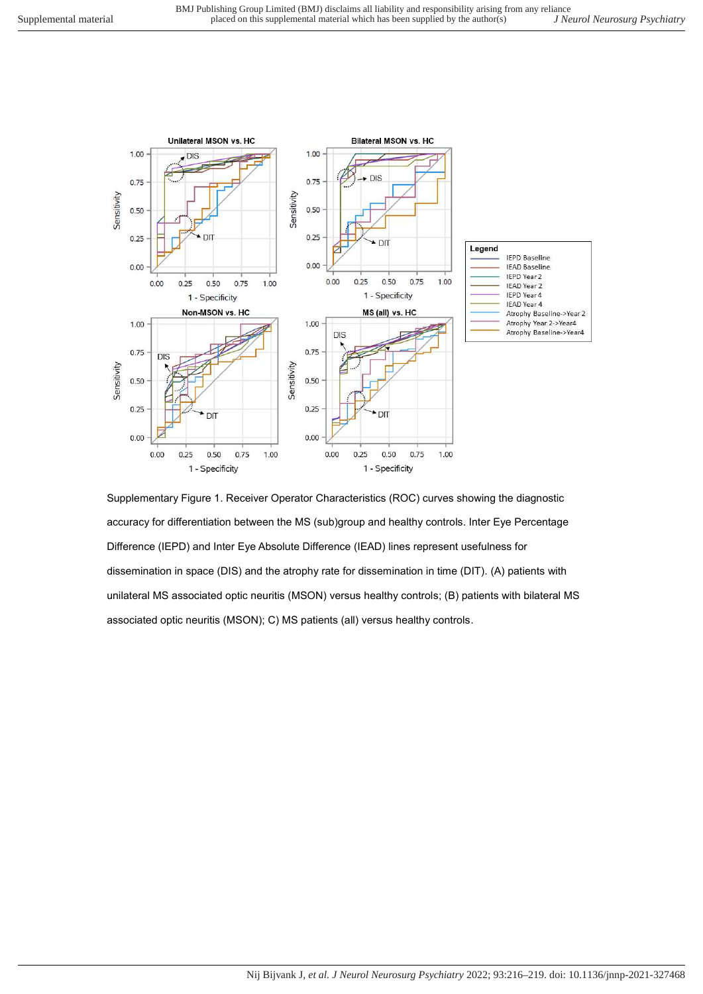

Supplementary Figure 1. Receiver Operator Characteristics (ROC) curves showing the diagnostic accuracy for differentiation between the MS (sub)group and healthy controls. Inter Eye Percentage Difference (IEPD) and Inter Eye Absolute Difference (IEAD) lines represent usefulness for dissemination in space (DIS) and the atrophy rate for dissemination in time (DIT). (A) patients with unilateral MS associated optic neuritis (MSON) versus healthy controls; (B) patients with bilateral MS associated optic neuritis (MSON); C) MS patients (all) versus healthy controls.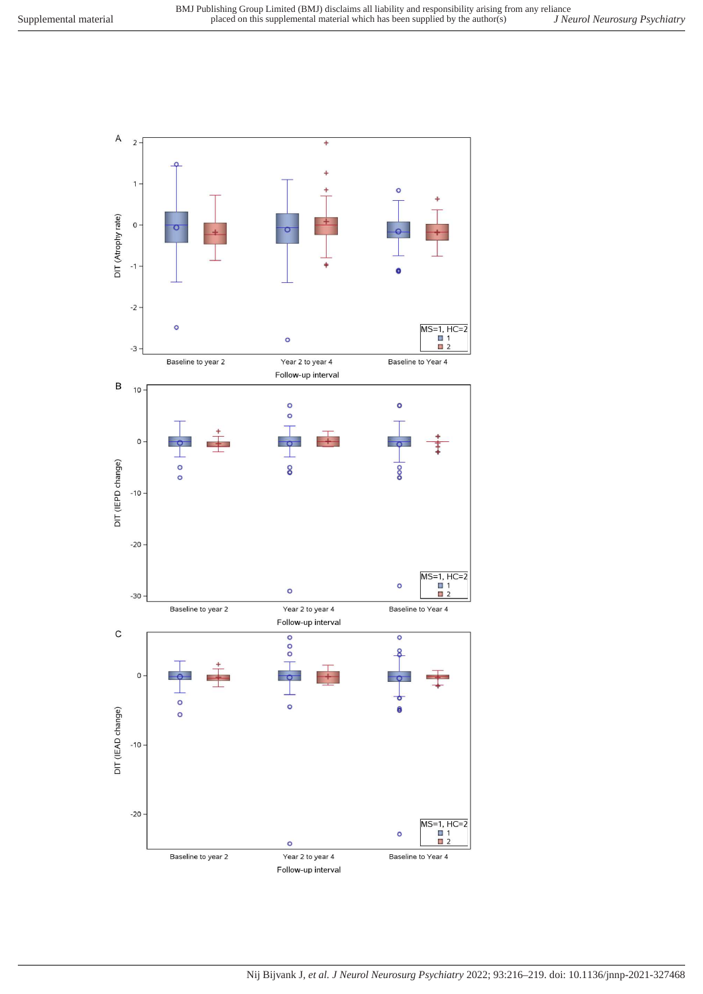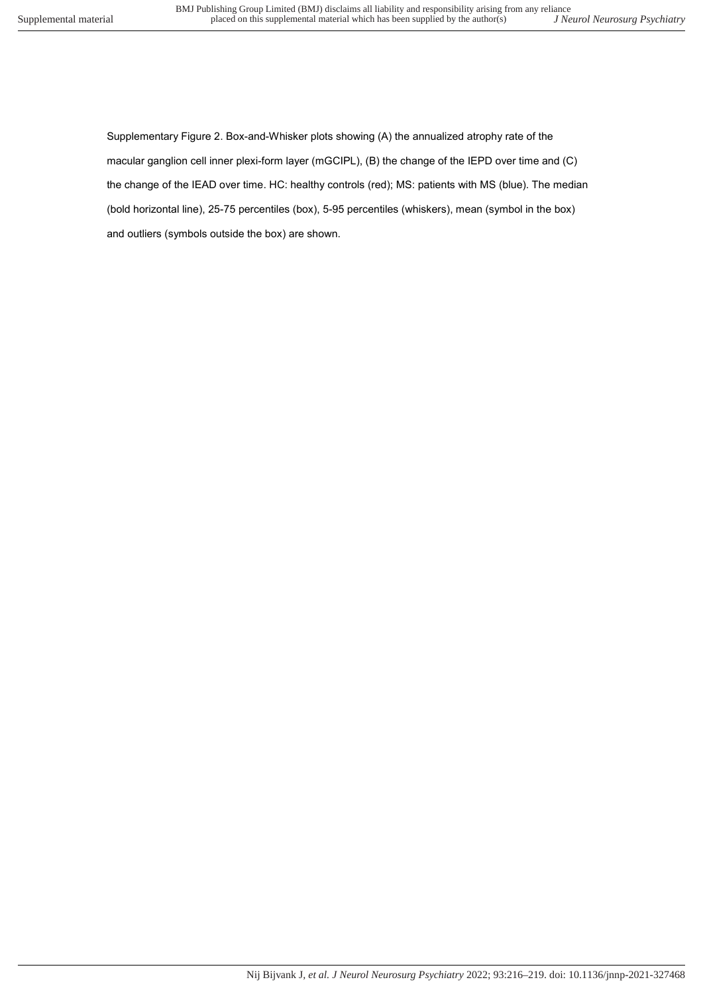Supplementary Figure 2. Box-and-Whisker plots showing (A) the annualized atrophy rate of the macular ganglion cell inner plexi-form layer (mGCIPL), (B) the change of the IEPD over time and (C) the change of the IEAD over time. HC: healthy controls (red); MS: patients with MS (blue). The median (bold horizontal line), 25-75 percentiles (box), 5-95 percentiles (whiskers), mean (symbol in the box) and outliers (symbols outside the box) are shown.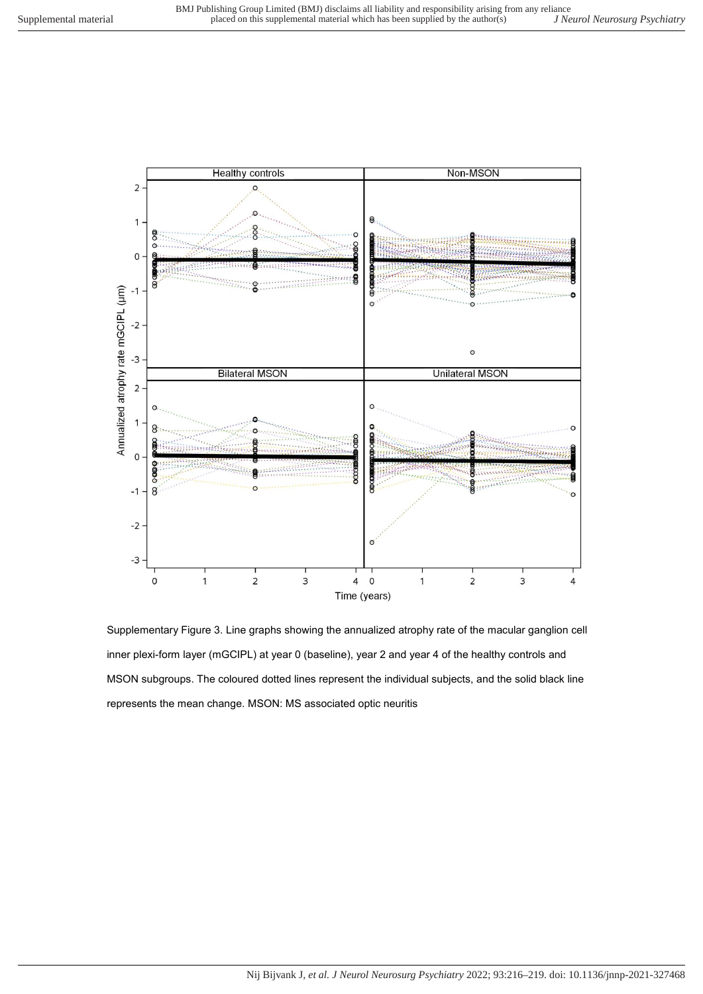$\overline{2}$ 

Non-MSON

**Healthy controls** 

 $\circ$ 

 $\epsilon$  $\overline{1}$ hoo ř  $\Omega$  $\circ$ **S**  $\overline{Q}$ Annualized atrophy rate mGCIPL (um)  $-1$ e<br>0  $\circ$  $-2$  $\circ$  $-3$ **Bilateral MSON Unilateral MSON**  $\overline{2}$  $\overline{1}$ c S  $\Omega$ ∞ oooo  $-1$  $-2$  $\epsilon$  $-3$  $\circ$  $\overline{c}$  $\overline{3}$  $\overline{\mathbf{4}}$  $\circ$  $\overline{2}$ 3  $\overline{1}$  $\mathbf{1}$ 4 Time (years)

Supplementary Figure 3. Line graphs showing the annualized atrophy rate of the macular ganglion cell inner plexi-form layer (mGCIPL) at year 0 (baseline), year 2 and year 4 of the healthy controls and MSON subgroups. The coloured dotted lines represent the individual subjects, and the solid black line represents the mean change. MSON: MS associated optic neuritis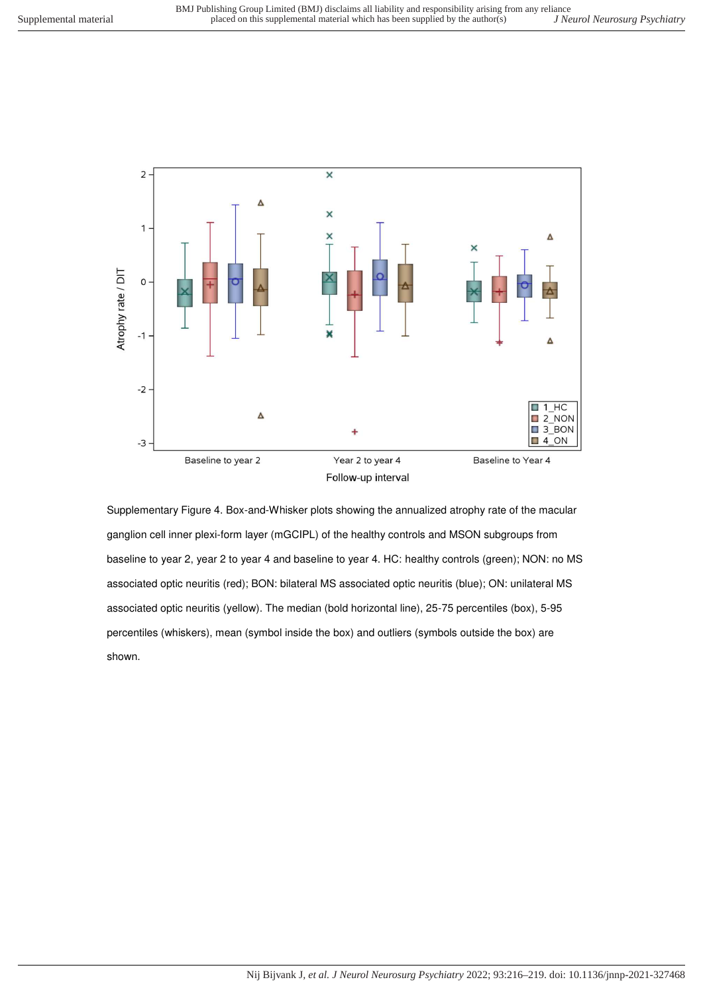

Supplementary Figure 4. Box-and-Whisker plots showing the annualized atrophy rate of the macular ganglion cell inner plexi-form layer (mGCIPL) of the healthy controls and MSON subgroups from baseline to year 2, year 2 to year 4 and baseline to year 4. HC: healthy controls (green); NON: no MS associated optic neuritis (red); BON: bilateral MS associated optic neuritis (blue); ON: unilateral MS associated optic neuritis (yellow). The median (bold horizontal line), 25-75 percentiles (box), 5-95 percentiles (whiskers), mean (symbol inside the box) and outliers (symbols outside the box) are shown.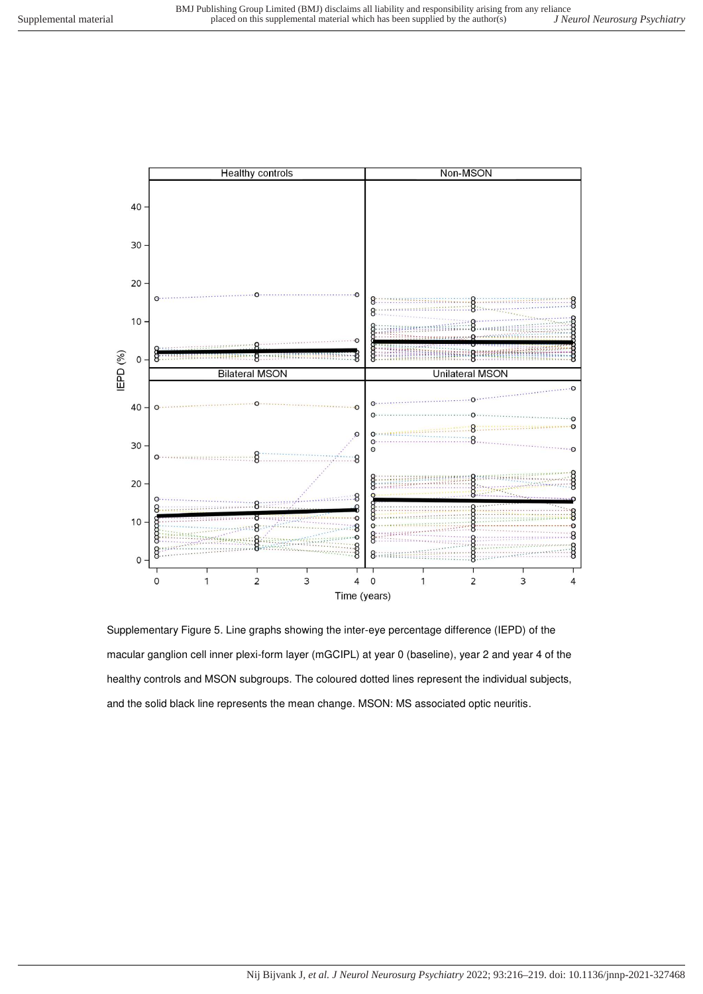

Supplementary Figure 5. Line graphs showing the inter-eye percentage difference (IEPD) of the macular ganglion cell inner plexi-form layer (mGCIPL) at year 0 (baseline), year 2 and year 4 of the healthy controls and MSON subgroups. The coloured dotted lines represent the individual subjects, and the solid black line represents the mean change. MSON: MS associated optic neuritis.